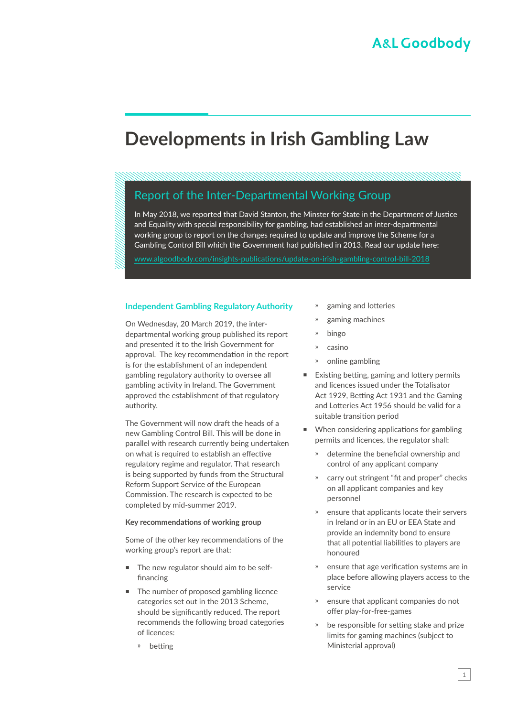# **Developments in Irish Gambling Law**

### Report of the Inter-Departmental Working Group

In May 2018, we reported that David Stanton, the Minster for State in the Department of Justice and Equality with special responsibility for gambling, had established an inter-departmental working group to report on the changes required to update and improve the Scheme for a Gambling Control Bill which the Government had published in 2013. Read our update here:

[www.algoodbody.com/insights-publications/update-on-irish-gambling-control-bill-2018](https://www.algoodbody.com/insights-publications/update-on-irish-gambling-control-bill-2018)

#### **Independent Gambling Regulatory Authority**

On Wednesday, 20 March 2019, the interdepartmental working group published its report and presented it to the Irish Government for approval. The key recommendation in the report is for the establishment of an independent gambling regulatory authority to oversee all gambling activity in Ireland. The Government approved the establishment of that regulatory authority.

The Government will now draft the heads of a new Gambling Control Bill. This will be done in parallel with research currently being undertaken on what is required to establish an effective regulatory regime and regulator. That research is being supported by funds from the Structural Reform Support Service of the European Commission. The research is expected to be completed by mid-summer 2019.

#### **Key recommendations of working group**

Some of the other key recommendations of the working group's report are that:

- The new regulator should aim to be selffinancing
- The number of proposed gambling licence categories set out in the 2013 Scheme, should be significantly reduced. The report recommends the following broad categories of licences:
	- ҉ betting
- gaming and lotteries
- gaming machines
- ҉ bingo
- ҉ casino
- online gambling
- Existing betting, gaming and lottery permits and licences issued under the Totalisator Act 1929, Betting Act 1931 and the Gaming and Lotteries Act 1956 should be valid for a suitable transition period
- When considering applications for gambling permits and licences, the regulator shall:
	- » determine the beneficial ownership and control of any applicant company
	- carry out stringent "fit and proper" checks on all applicant companies and key personnel
	- ҉ ensure that applicants locate their servers in Ireland or in an EU or EEA State and provide an indemnity bond to ensure that all potential liabilities to players are honoured
	- ҉ ensure that age verification systems are in place before allowing players access to the service
	- ҉ ensure that applicant companies do not offer play-for-free-games
	- be responsible for setting stake and prize limits for gaming machines (subject to Ministerial approval)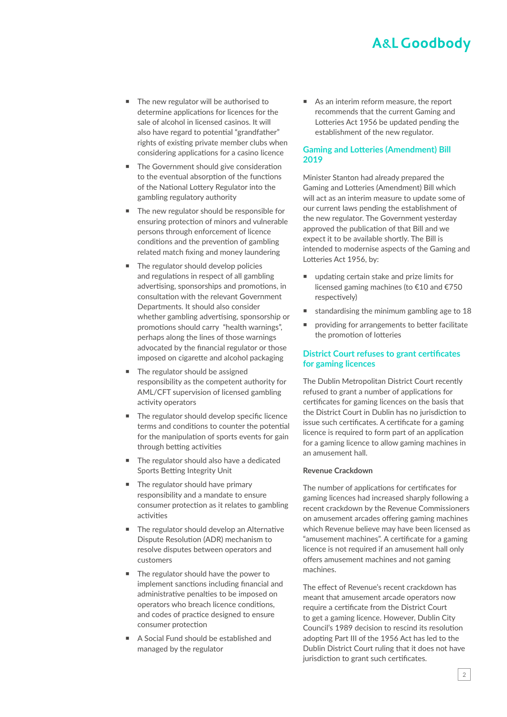## **A&L Goodbody**

- The new regulator will be authorised to determine applications for licences for the sale of alcohol in licensed casinos. It will also have regard to potential "grandfather" rights of existing private member clubs when considering applications for a casino licence
- The Government should give consideration to the eventual absorption of the functions of the National Lottery Regulator into the gambling regulatory authority
- The new regulator should be responsible for ensuring protection of minors and vulnerable persons through enforcement of licence conditions and the prevention of gambling related match fixing and money laundering
- The regulator should develop policies and regulations in respect of all gambling advertising, sponsorships and promotions, in consultation with the relevant Government Departments. It should also consider whether gambling advertising, sponsorship or promotions should carry "health warnings", perhaps along the lines of those warnings advocated by the financial regulator or those imposed on cigarette and alcohol packaging
- The regulator should be assigned responsibility as the competent authority for AML/CFT supervision of licensed gambling activity operators
- The regulator should develop specific licence terms and conditions to counter the potential for the manipulation of sports events for gain through betting activities
- The regulator should also have a dedicated Sports Betting Integrity Unit
- The regulator should have primary responsibility and a mandate to ensure consumer protection as it relates to gambling activities
- The regulator should develop an Alternative Dispute Resolution (ADR) mechanism to resolve disputes between operators and customers
- The regulator should have the power to implement sanctions including financial and administrative penalties to be imposed on operators who breach licence conditions, and codes of practice designed to ensure consumer protection
- A Social Fund should be established and managed by the regulator

■ As an interim reform measure, the report recommends that the current Gaming and Lotteries Act 1956 be updated pending the establishment of the new regulator.

#### **Gaming and Lotteries (Amendment) Bill 2019**

Minister Stanton had already prepared the Gaming and Lotteries (Amendment) Bill which will act as an interim measure to update some of our current laws pending the establishment of the new regulator. The Government yesterday approved the publication of that Bill and we expect it to be available shortly. The Bill is intended to modernise aspects of the Gaming and Lotteries Act 1956, by:

- updating certain stake and prize limits for licensed gaming machines (to €10 and €750 respectively)
- standardising the minimum gambling age to 18
- providing for arrangements to better facilitate the promotion of lotteries

#### **District Court refuses to grant certificates for gaming licences**

The Dublin Metropolitan District Court recently refused to grant a number of applications for certificates for gaming licences on the basis that the District Court in Dublin has no jurisdiction to issue such certificates. A certificate for a gaming licence is required to form part of an application for a gaming licence to allow gaming machines in an amusement hall.

#### **Revenue Crackdown**

The number of applications for certificates for gaming licences had increased sharply following a recent crackdown by the Revenue Commissioners on amusement arcades offering gaming machines which Revenue believe may have been licensed as "amusement machines". A certificate for a gaming licence is not required if an amusement hall only offers amusement machines and not gaming machines.

The effect of Revenue's recent crackdown has meant that amusement arcade operators now require a certificate from the District Court to get a gaming licence. However, Dublin City Council's 1989 decision to rescind its resolution adopting Part III of the 1956 Act has led to the Dublin District Court ruling that it does not have jurisdiction to grant such certificates.